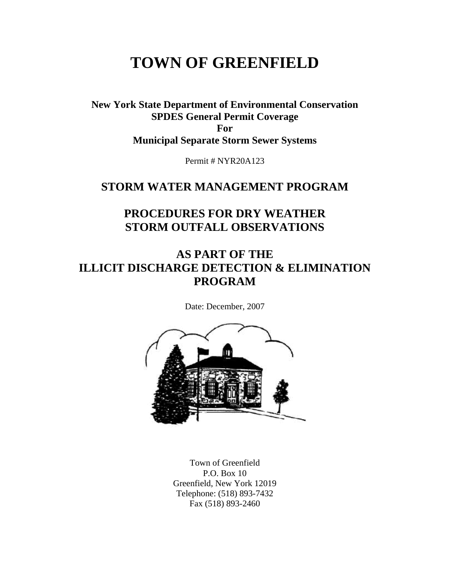# **TOWN OF GREENFIELD**

**New York State Department of Environmental Conservation SPDES General Permit Coverage For Municipal Separate Storm Sewer Systems** 

Permit # NYR20A123

### **STORM WATER MANAGEMENT PROGRAM**

### **PROCEDURES FOR DRY WEATHER STORM OUTFALL OBSERVATIONS**

## **AS PART OF THE ILLICIT DISCHARGE DETECTION & ELIMINATION PROGRAM**

Date: December, 2007



Town of Greenfield P.O. Box 10 Greenfield, New York 12019 Telephone: (518) 893-7432 Fax (518) 893-2460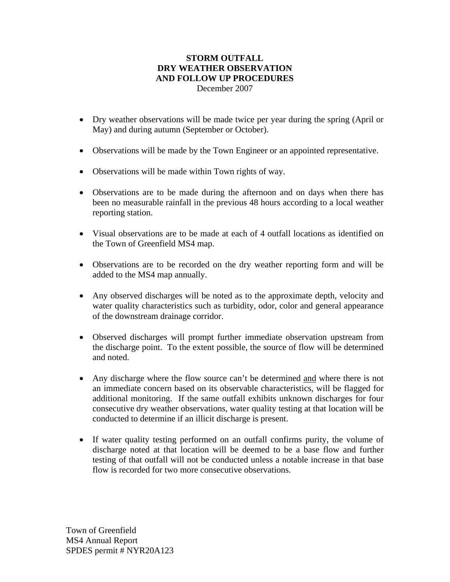#### **STORM OUTFALL DRY WEATHER OBSERVATION AND FOLLOW UP PROCEDURES**  December 2007

- Dry weather observations will be made twice per year during the spring (April or May) and during autumn (September or October).
- Observations will be made by the Town Engineer or an appointed representative.
- Observations will be made within Town rights of way.
- Observations are to be made during the afternoon and on days when there has been no measurable rainfall in the previous 48 hours according to a local weather reporting station.
- Visual observations are to be made at each of 4 outfall locations as identified on the Town of Greenfield MS4 map.
- Observations are to be recorded on the dry weather reporting form and will be added to the MS4 map annually.
- Any observed discharges will be noted as to the approximate depth, velocity and water quality characteristics such as turbidity, odor, color and general appearance of the downstream drainage corridor.
- Observed discharges will prompt further immediate observation upstream from the discharge point. To the extent possible, the source of flow will be determined and noted.
- Any discharge where the flow source can't be determined and where there is not an immediate concern based on its observable characteristics, will be flagged for additional monitoring. If the same outfall exhibits unknown discharges for four consecutive dry weather observations, water quality testing at that location will be conducted to determine if an illicit discharge is present.
- If water quality testing performed on an outfall confirms purity, the volume of discharge noted at that location will be deemed to be a base flow and further testing of that outfall will not be conducted unless a notable increase in that base flow is recorded for two more consecutive observations.